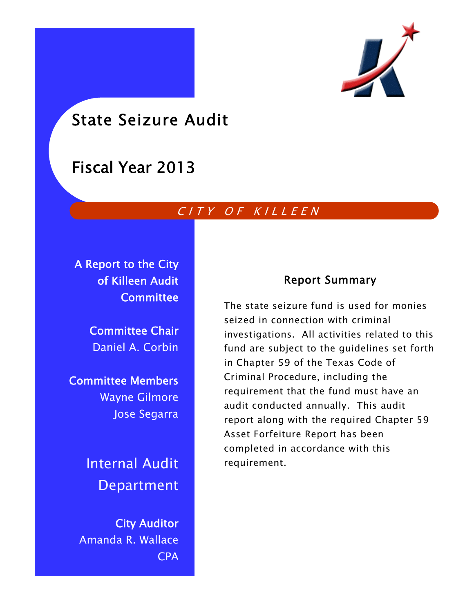

# State Seizure Audit

# Fiscal Year 2013

# CITY OF KILLEEN

A Report to the City of Killeen Audit **Committee** 

> Committee Chair Daniel A. Corbin

Committee Members Wayne Gilmore Jose Segarra

> Internal Audit Department

City Auditor Amanda R. Wallace CPA

### Report Summary

The state seizure fund is used for monies seized in connection with criminal investigations. All activities related to this fund are subject to the guidelines set forth in Chapter 59 of the Texas Code of Criminal Procedure, including the requirement that the fund must have an audit conducted annually. This audit report along with the required Chapter 59 Asset Forfeiture Report has been completed in accordance with this requirement.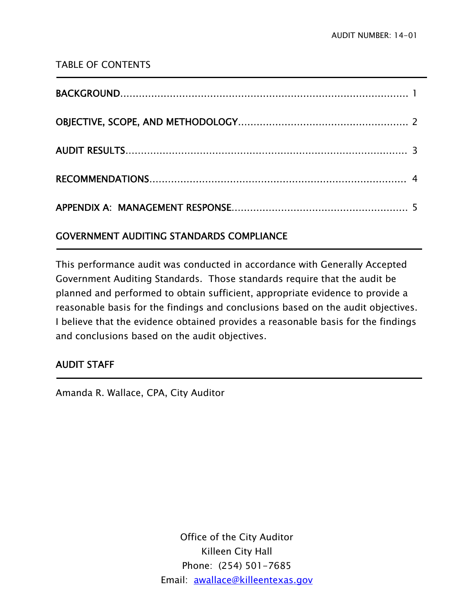### TABLE OF CONTENTS

### GOVERNMENT AUDITING STANDARDS COMPLIANCE

This performance audit was conducted in accordance with Generally Accepted Government Auditing Standards. Those standards require that the audit be planned and performed to obtain sufficient, appropriate evidence to provide a reasonable basis for the findings and conclusions based on the audit objectives. I believe that the evidence obtained provides a reasonable basis for the findings and conclusions based on the audit objectives.

### AUDIT STAFF

j

j

Amanda R. Wallace, CPA, City Auditor

Office of the City Auditor Killeen City Hall Phone: (254) 501-7685 Email: awallace@killeentexas.gov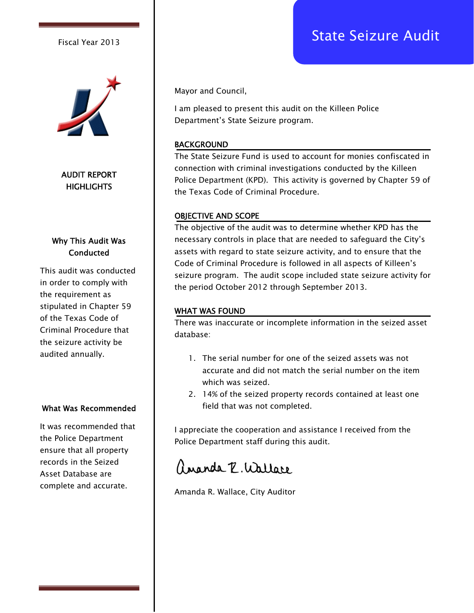# Fiscal Year 2013 **Fiscal Year 2013**



AUDIT REPORT **HIGHLIGHTS** 

### Why This Audit Was **Conducted**

This audit was conducted in order to comply with the requirement as stipulated in Chapter 59 of the Texas Code of Criminal Procedure that the seizure activity be audited annually.

#### What Was Recommended

It was recommended that the Police Department ensure that all property records in the Seized Asset Database are complete and accurate.

Mayor and Council,

I am pleased to present this audit on the Killeen Police Department's State Seizure program.

#### BACKGROUND

The State Seizure Fund is used to account for monies confiscated in connection with criminal investigations conducted by the Killeen Police Department (KPD). This activity is governed by Chapter 59 of the Texas Code of Criminal Procedure.

#### OBJECTIVE AND SCOPE

The objective of the audit was to determine whether KPD has the necessary controls in place that are needed to safeguard the City's assets with regard to state seizure activity, and to ensure that the Code of Criminal Procedure is followed in all aspects of Killeen's seizure program. The audit scope included state seizure activity for the period October 2012 through September 2013.

#### WHAT WAS FOUND

There was inaccurate or incomplete information in the seized asset database:

- 1. The serial number for one of the seized assets was not accurate and did not match the serial number on the item which was seized.
- 2. 14% of the seized property records contained at least one field that was not completed.

I appreciate the cooperation and assistance I received from the Police Department staff during this audit.

# amanda R. Wallace

Amanda R. Wallace, City Auditor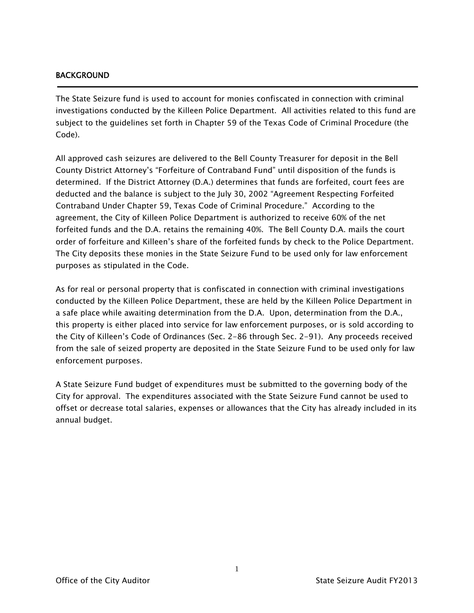#### BACKGROUND

j

The State Seizure fund is used to account for monies confiscated in connection with criminal investigations conducted by the Killeen Police Department. All activities related to this fund are subject to the guidelines set forth in Chapter 59 of the Texas Code of Criminal Procedure (the Code).

All approved cash seizures are delivered to the Bell County Treasurer for deposit in the Bell County District Attorney's "Forfeiture of Contraband Fund" until disposition of the funds is determined. If the District Attorney (D.A.) determines that funds are forfeited, court fees are deducted and the balance is subject to the July 30, 2002 "Agreement Respecting Forfeited Contraband Under Chapter 59, Texas Code of Criminal Procedure." According to the agreement, the City of Killeen Police Department is authorized to receive 60% of the net forfeited funds and the D.A. retains the remaining 40%. The Bell County D.A. mails the court order of forfeiture and Killeen's share of the forfeited funds by check to the Police Department. The City deposits these monies in the State Seizure Fund to be used only for law enforcement purposes as stipulated in the Code.

As for real or personal property that is confiscated in connection with criminal investigations conducted by the Killeen Police Department, these are held by the Killeen Police Department in a safe place while awaiting determination from the D.A. Upon, determination from the D.A., this property is either placed into service for law enforcement purposes, or is sold according to the City of Killeen's Code of Ordinances (Sec. 2-86 through Sec. 2-91). Any proceeds received from the sale of seized property are deposited in the State Seizure Fund to be used only for law enforcement purposes.

A State Seizure Fund budget of expenditures must be submitted to the governing body of the City for approval. The expenditures associated with the State Seizure Fund cannot be used to offset or decrease total salaries, expenses or allowances that the City has already included in its annual budget.

1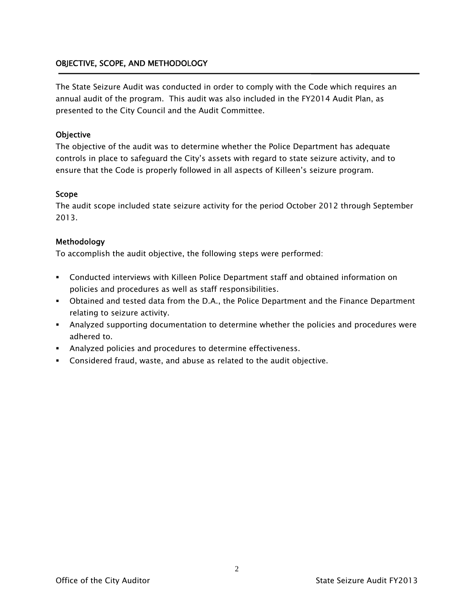### OBJECTIVE, SCOPE, AND METHODOLOGY

The State Seizure Audit was conducted in order to comply with the Code which requires an annual audit of the program. This audit was also included in the FY2014 Audit Plan, as presented to the City Council and the Audit Committee.

#### **Objective**

The objective of the audit was to determine whether the Police Department has adequate controls in place to safeguard the City's assets with regard to state seizure activity, and to ensure that the Code is properly followed in all aspects of Killeen's seizure program.

#### Scope

The audit scope included state seizure activity for the period October 2012 through September 2013.

#### Methodology

To accomplish the audit objective, the following steps were performed:

- Conducted interviews with Killeen Police Department staff and obtained information on policies and procedures as well as staff responsibilities.
- Obtained and tested data from the D.A., the Police Department and the Finance Department relating to seizure activity.
- Analyzed supporting documentation to determine whether the policies and procedures were adhered to.
- Analyzed policies and procedures to determine effectiveness.
- Considered fraud, waste, and abuse as related to the audit objective.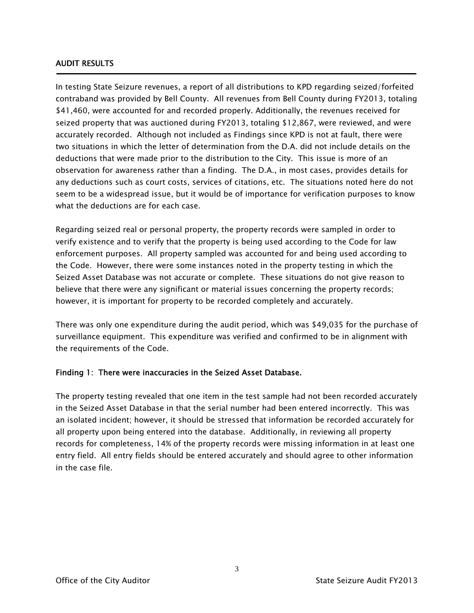#### AUDIT RESULTS

Ī

In testing State Seizure revenues, a report of all distributions to KPD regarding seized/forfeited contraband was provided by Bell County. All revenues from Bell County during FY2013, totaling \$41,460, were accounted for and recorded properly. Additionally, the revenues received for seized property that was auctioned during FY2013, totaling \$12,867, were reviewed, and were accurately recorded. Although not included as Findings since KPD is not at fault, there were two situations in which the letter of determination from the D.A. did not include details on the deductions that were made prior to the distribution to the City. This issue is more of an observation for awareness rather than a finding. The D.A., in most cases, provides details for any deductions such as court costs, services of citations, etc. The situations noted here do not seem to be a widespread issue, but it would be of importance for verification purposes to know what the deductions are for each case.

Regarding seized real or personal property, the property records were sampled in order to verify existence and to verify that the property is being used according to the Code for law enforcement purposes. All property sampled was accounted for and being used according to the Code. However, there were some instances noted in the property testing in which the Seized Asset Database was not accurate or complete. These situations do not give reason to believe that there were any significant or material issues concerning the property records; however, it is important for property to be recorded completely and accurately.

There was only one expenditure during the audit period, which was \$49,035 for the purchase of surveillance equipment. This expenditure was verified and confirmed to be in alignment with the requirements of the Code.

#### Finding 1: There were inaccuracies in the Seized Asset Database.

The property testing revealed that one item in the test sample had not been recorded accurately in the Seized Asset Database in that the serial number had been entered incorrectly. This was an isolated incident; however, it should be stressed that information be recorded accurately for all property upon being entered into the database. Additionally, in reviewing all property records for completeness, 14% of the property records were missing information in at least one entry field. All entry fields should be entered accurately and should agree to other information in the case file.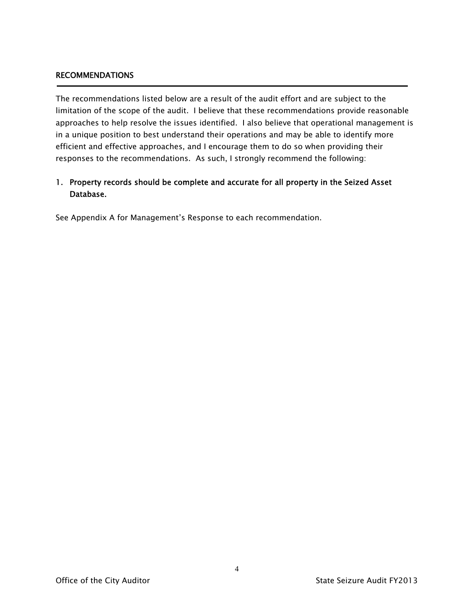#### RECOMMENDATIONS

The recommendations listed below are a result of the audit effort and are subject to the limitation of the scope of the audit. I believe that these recommendations provide reasonable approaches to help resolve the issues identified. I also believe that operational management is in a unique position to best understand their operations and may be able to identify more efficient and effective approaches, and I encourage them to do so when providing their responses to the recommendations. As such, I strongly recommend the following:

### 1. Property records should be complete and accurate for all property in the Seized Asset Database.

See Appendix A for Management's Response to each recommendation.